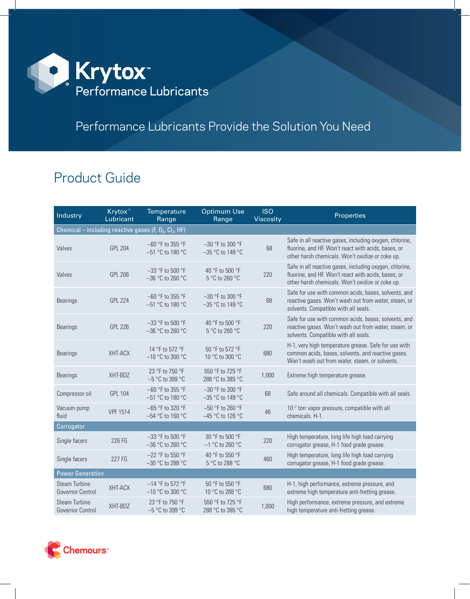

## Performance Lubricants Provide the Solution You Need

## Product Guide

| Industry                                                              | Krytox <sup>™</sup><br>Lubricant | Temperature<br>Range                     | <b>Optimum Use</b><br>Range              | <b>ISO</b><br>Viscosity | Properties                                                                                                                                                         |  |  |  |  |
|-----------------------------------------------------------------------|----------------------------------|------------------------------------------|------------------------------------------|-------------------------|--------------------------------------------------------------------------------------------------------------------------------------------------------------------|--|--|--|--|
| Chemical – including reactive gases (F, $O_2$ , Cl <sub>2</sub> , HF) |                                  |                                          |                                          |                         |                                                                                                                                                                    |  |  |  |  |
| Valves                                                                | <b>GPL 204</b>                   | -60 °F to 355 °F<br>-51 °C to 180 °C     | $-30$ °F to 300 °F<br>$-35$ °C to 149 °C | 68                      | Safe in all reactive gases, including oxygen, chlorine,<br>fluorine, and HF. Won't react with acids, bases, or<br>other harsh chemicals. Won't oxidize or coke up. |  |  |  |  |
| Valves                                                                | <b>GPL 206</b>                   | $-33$ °F to 500 °F<br>$-36$ °C to 260 °C | 40 °F to 500 °F<br>5 °C to 260 °C        | 220                     | Safe in all reactive gases, including oxygen, chlorine,<br>fluorine, and HF. Won't react with acids, bases, or<br>other harsh chemicals. Won't oxidize or coke up. |  |  |  |  |
| <b>Bearings</b>                                                       | <b>GPL 224</b>                   | $-60$ °F to 355 °F<br>-51 °C to 180 °C   | $-30$ °F to 300 °F<br>$-35$ °C to 149 °C | 68                      | Safe for use with common acids, bases, solvents, and<br>reactive gases. Won't wash out from water, steam, or<br>solvents. Compatible with all seals.               |  |  |  |  |
| <b>Bearings</b>                                                       | <b>GPL 226</b>                   | $-33$ °F to 500 °F<br>$-36$ °C to 260 °C | 40 °F to 500 °F<br>5 °C to 260 °C        | 220                     | Safe for use with common acids, bases, solvents, and<br>reactive gases. Won't wash out from water, steam, or<br>solvents. Compatible with all seals.               |  |  |  |  |
| <b>Bearings</b>                                                       | XHT-ACX                          | 14 °F to 572 °F<br>$-10$ °C to 300 °C    | 50 °F to 572 °F<br>10 °C to 300 °C       | 680                     | H-1, very high temperature grease. Safe for use with<br>common acids, bases, solvents, and reactive gases.<br>Won't wash out from water, steam, or solvents.       |  |  |  |  |
| <b>Bearings</b>                                                       | XHT-BDZ                          | 23 °F to 750 °F<br>$-5$ °C to 399 °C     | 550 °F to 725 °F<br>288 °C to 385 °C     | 1,000                   | Extreme high temperature grease.                                                                                                                                   |  |  |  |  |
| Compressor oil                                                        | <b>GPL 104</b>                   | $-60$ °F to 355 °F<br>-51 °C to 180 °C   | -30 °F to 300 °F<br>$-35$ °C to 149 °C   | 68                      | Safe around all chemicals. Compatible with all seals.                                                                                                              |  |  |  |  |
| Vacuum pump<br>fluid                                                  | <b>VPF 1514</b>                  | $-65$ °F to 320 °F<br>-54 °C to 160 °C   | $-50$ °F to 260 °F<br>$-45$ °C to 126 °C | 46                      | 10 <sup>-7</sup> torr vapor pressure, compatible with all<br>chemicals. H-1.                                                                                       |  |  |  |  |
| Corrugator                                                            |                                  |                                          |                                          |                         |                                                                                                                                                                    |  |  |  |  |
| Single facers                                                         | 226 FG                           | $-33$ °F to 500 °F<br>$-36$ °C to 260 °C | 30 °F to 500 °F<br>$-1$ °C to 260 °C     | 220                     | High temperature, long life high load carrying<br>corrugator grease, H-1 food grade grease.                                                                        |  |  |  |  |
| Single facers                                                         | 227 FG                           | $-22$ °F to 550 °F<br>$-30$ °C to 288 °C | 40 °F to 550 °F<br>5 °C to 288 °C        | 460                     | High temperature, long life high load carrying<br>corrugator grease, H-1 food grade grease.                                                                        |  |  |  |  |
| <b>Power Generation</b>                                               |                                  |                                          |                                          |                         |                                                                                                                                                                    |  |  |  |  |
| Steam Turbine<br>Governor Control                                     | XHT-ACX                          | $-14$ °F to 572 °F<br>$-10$ °C to 300 °C | 50 °F to 550 °F<br>10 °C to 288 °C       | 680                     | H-1, high performance, extreme pressure, and<br>extreme high temperature anti-fretting grease.                                                                     |  |  |  |  |
| <b>Steam Turbine</b><br>Governor Control                              | XHT-BDZ                          | 23 °F to 750 °F<br>-5 °C to 399 °C       | 550 °F to 725 °F<br>288 °C to 385 °C     | 1,000                   | High performance, extreme pressure, and extreme<br>high temperature anti-fretting grease.                                                                          |  |  |  |  |